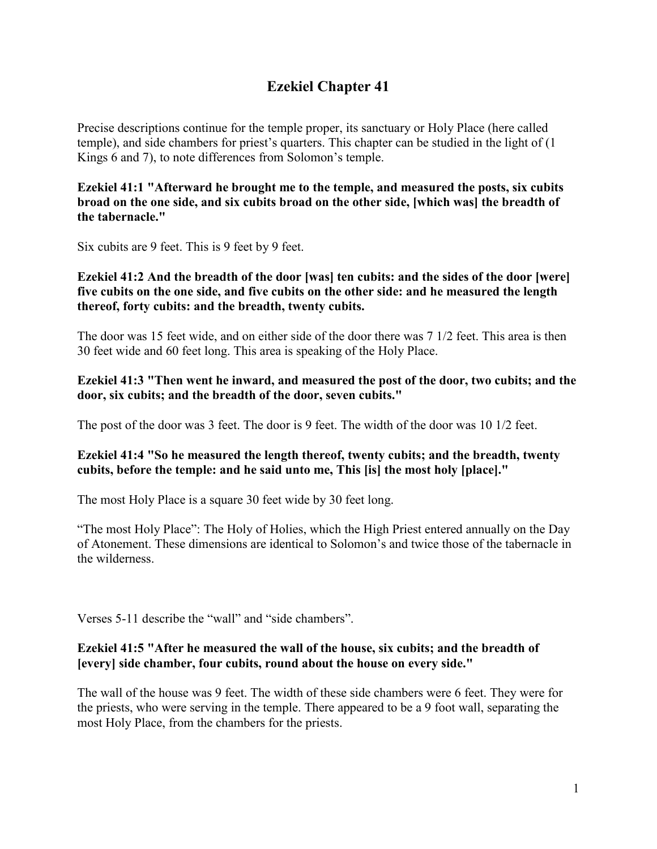# **Ezekiel Chapter 41**

Precise descriptions continue for the temple proper, its sanctuary or Holy Place (here called temple), and side chambers for priest's quarters. This chapter can be studied in the light of (1 Kings 6 and 7), to note differences from Solomon's temple.

**Ezekiel 41:1 "Afterward he brought me to the temple, and measured the posts, six cubits broad on the one side, and six cubits broad on the other side, [which was] the breadth of the tabernacle."**

Six cubits are 9 feet. This is 9 feet by 9 feet.

# **Ezekiel 41:2 And the breadth of the door [was] ten cubits: and the sides of the door [were] five cubits on the one side, and five cubits on the other side: and he measured the length thereof, forty cubits: and the breadth, twenty cubits.**

The door was 15 feet wide, and on either side of the door there was 7 1/2 feet. This area is then 30 feet wide and 60 feet long. This area is speaking of the Holy Place.

# **Ezekiel 41:3 "Then went he inward, and measured the post of the door, two cubits; and the door, six cubits; and the breadth of the door, seven cubits."**

The post of the door was 3 feet. The door is 9 feet. The width of the door was 10 1/2 feet.

# **Ezekiel 41:4 "So he measured the length thereof, twenty cubits; and the breadth, twenty cubits, before the temple: and he said unto me, This [is] the most holy [place]."**

The most Holy Place is a square 30 feet wide by 30 feet long.

"The most Holy Place": The Holy of Holies, which the High Priest entered annually on the Day of Atonement. These dimensions are identical to Solomon's and twice those of the tabernacle in the wilderness.

Verses 5-11 describe the "wall" and "side chambers".

# **Ezekiel 41:5 "After he measured the wall of the house, six cubits; and the breadth of [every] side chamber, four cubits, round about the house on every side."**

The wall of the house was 9 feet. The width of these side chambers were 6 feet. They were for the priests, who were serving in the temple. There appeared to be a 9 foot wall, separating the most Holy Place, from the chambers for the priests.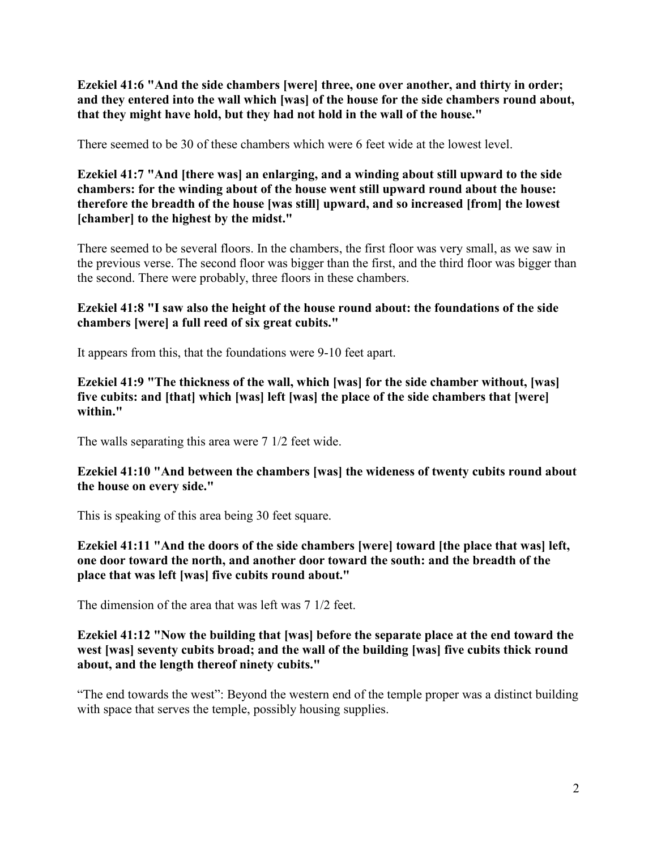**Ezekiel 41:6 "And the side chambers [were] three, one over another, and thirty in order; and they entered into the wall which [was] of the house for the side chambers round about, that they might have hold, but they had not hold in the wall of the house."**

There seemed to be 30 of these chambers which were 6 feet wide at the lowest level.

**Ezekiel 41:7 "And [there was] an enlarging, and a winding about still upward to the side chambers: for the winding about of the house went still upward round about the house: therefore the breadth of the house [was still] upward, and so increased [from] the lowest [chamber] to the highest by the midst."**

There seemed to be several floors. In the chambers, the first floor was very small, as we saw in the previous verse. The second floor was bigger than the first, and the third floor was bigger than the second. There were probably, three floors in these chambers.

# **Ezekiel 41:8 "I saw also the height of the house round about: the foundations of the side chambers [were] a full reed of six great cubits."**

It appears from this, that the foundations were 9-10 feet apart.

**Ezekiel 41:9 "The thickness of the wall, which [was] for the side chamber without, [was] five cubits: and [that] which [was] left [was] the place of the side chambers that [were] within."**

The walls separating this area were 7 1/2 feet wide.

# **Ezekiel 41:10 "And between the chambers [was] the wideness of twenty cubits round about the house on every side."**

This is speaking of this area being 30 feet square.

**Ezekiel 41:11 "And the doors of the side chambers [were] toward [the place that was] left, one door toward the north, and another door toward the south: and the breadth of the place that was left [was] five cubits round about."**

The dimension of the area that was left was 7 1/2 feet.

# **Ezekiel 41:12 "Now the building that [was] before the separate place at the end toward the west [was] seventy cubits broad; and the wall of the building [was] five cubits thick round about, and the length thereof ninety cubits."**

"The end towards the west": Beyond the western end of the temple proper was a distinct building with space that serves the temple, possibly housing supplies.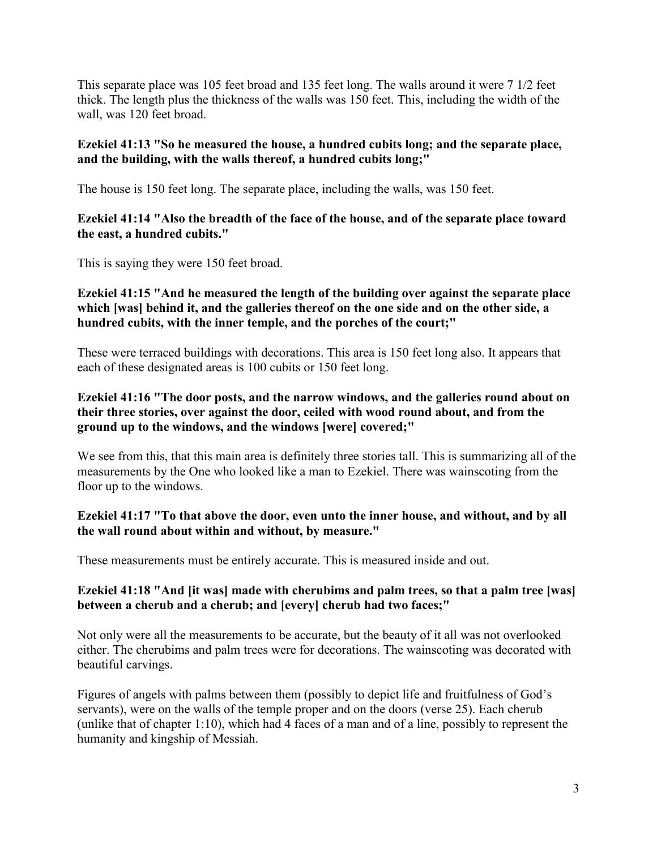This separate place was 105 feet broad and 135 feet long. The walls around it were 7 1/2 feet thick. The length plus the thickness of the walls was 150 feet. This, including the width of the wall, was 120 feet broad.

# **Ezekiel 41:13 "So he measured the house, a hundred cubits long; and the separate place, and the building, with the walls thereof, a hundred cubits long;"**

The house is 150 feet long. The separate place, including the walls, was 150 feet.

#### **Ezekiel 41:14 "Also the breadth of the face of the house, and of the separate place toward the east, a hundred cubits."**

This is saying they were 150 feet broad.

# **Ezekiel 41:15 "And he measured the length of the building over against the separate place which [was] behind it, and the galleries thereof on the one side and on the other side, a hundred cubits, with the inner temple, and the porches of the court;"**

These were terraced buildings with decorations. This area is 150 feet long also. It appears that each of these designated areas is 100 cubits or 150 feet long.

# **Ezekiel 41:16 "The door posts, and the narrow windows, and the galleries round about on their three stories, over against the door, ceiled with wood round about, and from the ground up to the windows, and the windows [were] covered;"**

We see from this, that this main area is definitely three stories tall. This is summarizing all of the measurements by the One who looked like a man to Ezekiel. There was wainscoting from the floor up to the windows.

#### **Ezekiel 41:17 "To that above the door, even unto the inner house, and without, and by all the wall round about within and without, by measure."**

These measurements must be entirely accurate. This is measured inside and out.

# **Ezekiel 41:18 "And [it was] made with cherubims and palm trees, so that a palm tree [was] between a cherub and a cherub; and [every] cherub had two faces;"**

Not only were all the measurements to be accurate, but the beauty of it all was not overlooked either. The cherubims and palm trees were for decorations. The wainscoting was decorated with beautiful carvings.

Figures of angels with palms between them (possibly to depict life and fruitfulness of God's servants), were on the walls of the temple proper and on the doors (verse 25). Each cherub (unlike that of chapter 1:10), which had 4 faces of a man and of a line, possibly to represent the humanity and kingship of Messiah.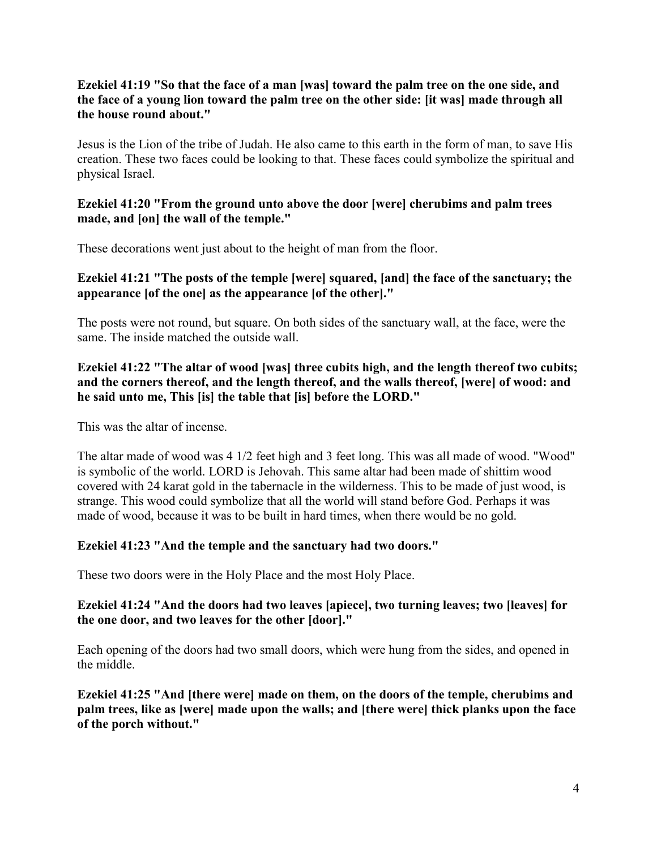# **Ezekiel 41:19 "So that the face of a man [was] toward the palm tree on the one side, and the face of a young lion toward the palm tree on the other side: [it was] made through all the house round about."**

Jesus is the Lion of the tribe of Judah. He also came to this earth in the form of man, to save His creation. These two faces could be looking to that. These faces could symbolize the spiritual and physical Israel.

# **Ezekiel 41:20 "From the ground unto above the door [were] cherubims and palm trees made, and [on] the wall of the temple."**

These decorations went just about to the height of man from the floor.

# **Ezekiel 41:21 "The posts of the temple [were] squared, [and] the face of the sanctuary; the appearance [of the one] as the appearance [of the other]."**

The posts were not round, but square. On both sides of the sanctuary wall, at the face, were the same. The inside matched the outside wall.

# **Ezekiel 41:22 "The altar of wood [was] three cubits high, and the length thereof two cubits; and the corners thereof, and the length thereof, and the walls thereof, [were] of wood: and he said unto me, This [is] the table that [is] before the LORD."**

This was the altar of incense.

The altar made of wood was 4 1/2 feet high and 3 feet long. This was all made of wood. "Wood" is symbolic of the world. LORD is Jehovah. This same altar had been made of shittim wood covered with 24 karat gold in the tabernacle in the wilderness. This to be made of just wood, is strange. This wood could symbolize that all the world will stand before God. Perhaps it was made of wood, because it was to be built in hard times, when there would be no gold.

# **Ezekiel 41:23 "And the temple and the sanctuary had two doors."**

These two doors were in the Holy Place and the most Holy Place.

# **Ezekiel 41:24 "And the doors had two leaves [apiece], two turning leaves; two [leaves] for the one door, and two leaves for the other [door]."**

Each opening of the doors had two small doors, which were hung from the sides, and opened in the middle.

**Ezekiel 41:25 "And [there were] made on them, on the doors of the temple, cherubims and palm trees, like as [were] made upon the walls; and [there were] thick planks upon the face of the porch without."**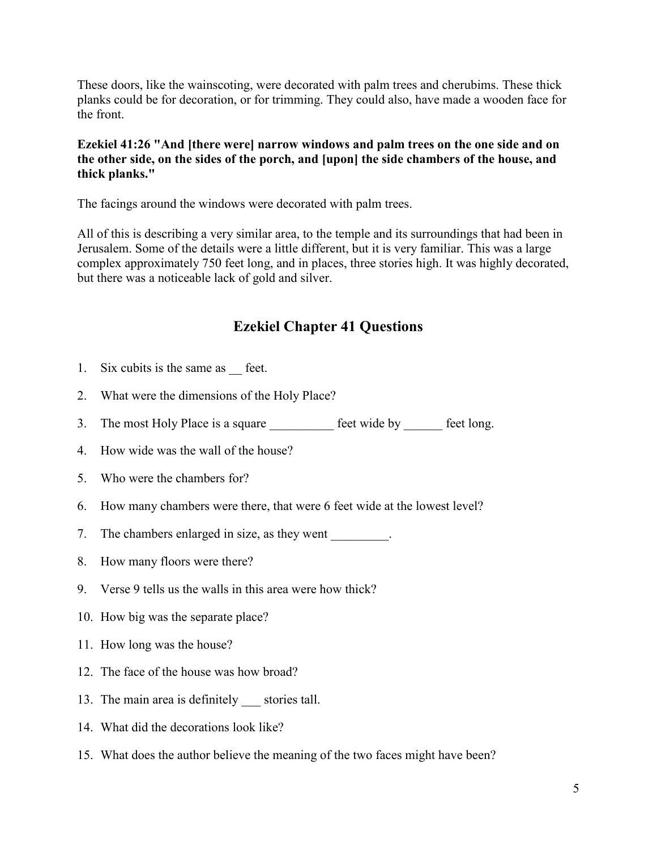These doors, like the wainscoting, were decorated with palm trees and cherubims. These thick planks could be for decoration, or for trimming. They could also, have made a wooden face for the front.

# **Ezekiel 41:26 "And [there were] narrow windows and palm trees on the one side and on the other side, on the sides of the porch, and [upon] the side chambers of the house, and thick planks."**

The facings around the windows were decorated with palm trees.

All of this is describing a very similar area, to the temple and its surroundings that had been in Jerusalem. Some of the details were a little different, but it is very familiar. This was a large complex approximately 750 feet long, and in places, three stories high. It was highly decorated, but there was a noticeable lack of gold and silver.

# **Ezekiel Chapter 41 Questions**

- 1. Six cubits is the same as <u>feet</u>.
- 2. What were the dimensions of the Holy Place?
- 3. The most Holy Place is a square <u>section of</u> feet wide by <u>sections</u> feet long.
- 4. How wide was the wall of the house?
- 5. Who were the chambers for?
- 6. How many chambers were there, that were 6 feet wide at the lowest level?
- 7. The chambers enlarged in size, as they went \_\_\_\_\_\_\_\_.
- 8. How many floors were there?
- 9. Verse 9 tells us the walls in this area were how thick?
- 10. How big was the separate place?
- 11. How long was the house?
- 12. The face of the house was how broad?
- 13. The main area is definitely \_\_\_ stories tall.
- 14. What did the decorations look like?
- 15. What does the author believe the meaning of the two faces might have been?